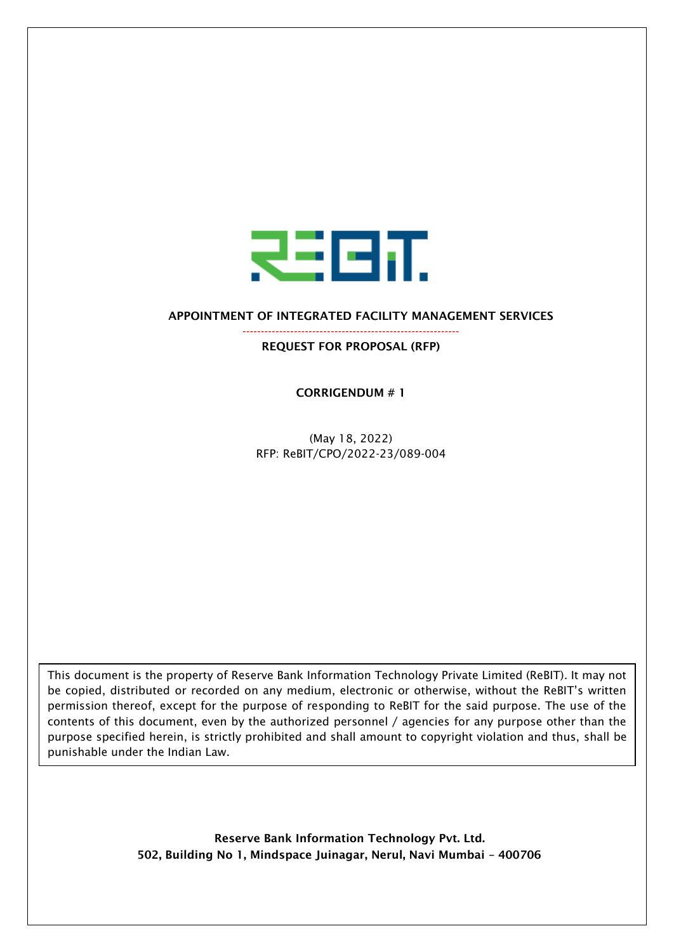

## APPOINTMENT OF INTEGRATED FACILITY MANAGEMENT SERVICES

----------------------------------------------------------- REQUEST FOR PROPOSAL (RFP)

CORRIGENDUM # 1

(May 18, 2022) RFP: ReBIT/CPO/2022-23/089-004

This document is the property of Reserve Bank Information Technology Private Limited (ReBIT). It may not be copied, distributed or recorded on any medium, electronic or otherwise, without the ReBIT's written permission thereof, except for the purpose of responding to ReBIT for the said purpose. The use of the contents of this document, even by the authorized personnel / agencies for any purpose other than the purpose specified herein, is strictly prohibited and shall amount to copyright violation and thus, shall be punishable under the Indian Law.

> Reserve Bank Information Technology Pvt. Ltd. 502, Building No 1, Mindspace Juinagar, Nerul, Navi Mumbai – 400706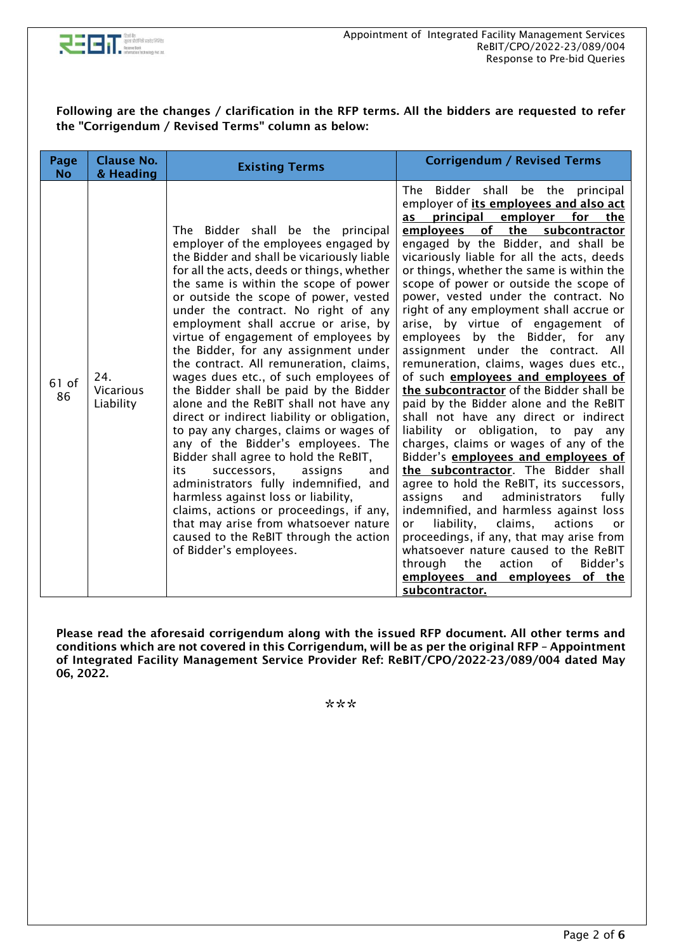

## Following are the changes / clarification in the RFP terms. All the bidders are requested to refer the "Corrigendum / Revised Terms" column as below:

| Page<br><b>No</b> | <b>Clause No.</b><br>& Heading       | <b>Existing Terms</b>                                                                                                                                                                                                                                                                                                                                                                                                                                                                                                                                                                                                                                                                                                                                                                                                                                                                                                                                                                                                                                  | <b>Corrigendum / Revised Terms</b>                                                                                                                                                                                                                                                                                                                                                                                                                                                                                                                                                                                                                                                                                                                                                                                                                                                                                                                                                                                                                                                                                                                                                                                                                                                                |
|-------------------|--------------------------------------|--------------------------------------------------------------------------------------------------------------------------------------------------------------------------------------------------------------------------------------------------------------------------------------------------------------------------------------------------------------------------------------------------------------------------------------------------------------------------------------------------------------------------------------------------------------------------------------------------------------------------------------------------------------------------------------------------------------------------------------------------------------------------------------------------------------------------------------------------------------------------------------------------------------------------------------------------------------------------------------------------------------------------------------------------------|---------------------------------------------------------------------------------------------------------------------------------------------------------------------------------------------------------------------------------------------------------------------------------------------------------------------------------------------------------------------------------------------------------------------------------------------------------------------------------------------------------------------------------------------------------------------------------------------------------------------------------------------------------------------------------------------------------------------------------------------------------------------------------------------------------------------------------------------------------------------------------------------------------------------------------------------------------------------------------------------------------------------------------------------------------------------------------------------------------------------------------------------------------------------------------------------------------------------------------------------------------------------------------------------------|
| 61 of<br>86       | 24.<br><b>Vicarious</b><br>Liability | The Bidder shall be the principal<br>employer of the employees engaged by<br>the Bidder and shall be vicariously liable<br>for all the acts, deeds or things, whether<br>the same is within the scope of power<br>or outside the scope of power, vested<br>under the contract. No right of any<br>employment shall accrue or arise, by<br>virtue of engagement of employees by<br>the Bidder, for any assignment under<br>the contract. All remuneration, claims,<br>wages dues etc., of such employees of<br>the Bidder shall be paid by the Bidder<br>alone and the ReBIT shall not have any<br>direct or indirect liability or obligation,<br>to pay any charges, claims or wages of<br>any of the Bidder's employees. The<br>Bidder shall agree to hold the ReBIT,<br>successors,<br>assigns<br>its<br>and<br>administrators fully indemnified, and<br>harmless against loss or liability,<br>claims, actions or proceedings, if any,<br>that may arise from whatsoever nature<br>caused to the ReBIT through the action<br>of Bidder's employees. | Bidder shall be the principal<br>The<br>employer of its employees and also act<br>principal employer for the<br>as<br>employees of the subcontractor<br>engaged by the Bidder, and shall be<br>vicariously liable for all the acts, deeds<br>or things, whether the same is within the<br>scope of power or outside the scope of<br>power, vested under the contract. No<br>right of any employment shall accrue or<br>arise, by virtue of engagement of<br>employees by the Bidder, for any<br>assignment under the contract. All<br>remuneration, claims, wages dues etc.,<br>of such employees and employees of<br>the subcontractor of the Bidder shall be<br>paid by the Bidder alone and the ReBIT<br>shall not have any direct or indirect<br>liability or obligation, to pay any<br>charges, claims or wages of any of the<br>Bidder's <b>employees and employees of</b><br>the subcontractor. The Bidder shall<br>agree to hold the ReBIT, its successors,<br>administrators<br>assigns<br>and<br>fully<br>indemnified, and harmless against loss<br>liability,<br>claims,<br>actions<br>or<br>or<br>proceedings, if any, that may arise from<br>whatsoever nature caused to the ReBIT<br>Bidder's<br>through<br>the<br>action<br>of<br>employees and employees of the<br>subcontractor. |

Please read the aforesaid corrigendum along with the issued RFP document. All other terms and conditions which are not covered in this Corrigendum, will be as per the original RFP – Appointment of Integrated Facility Management Service Provider Ref: ReBIT/CPO/2022-23/089/004 dated May 06, 2022.

\*\*\*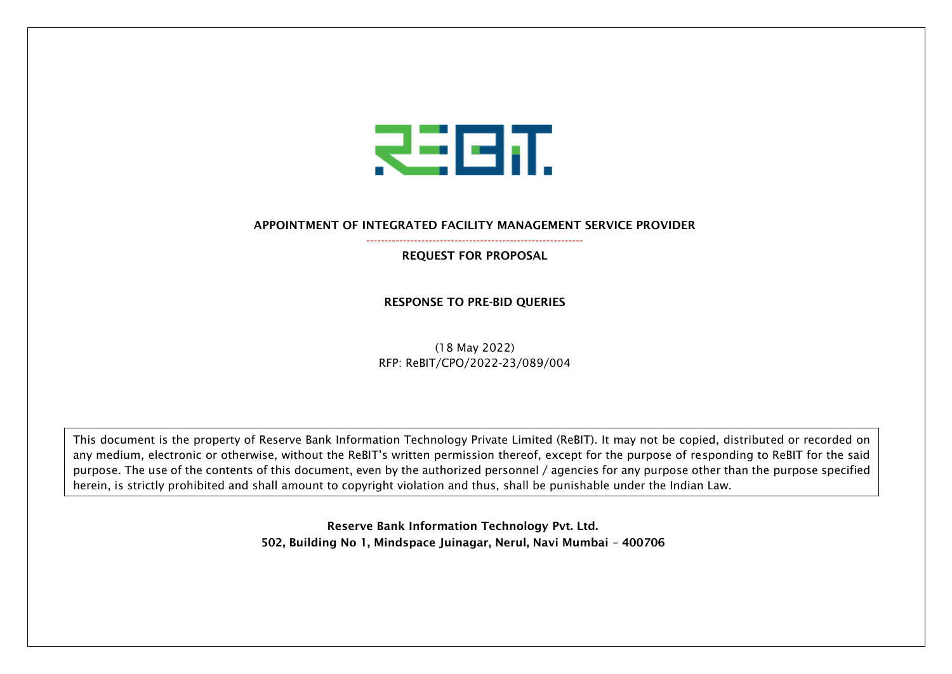

## APPOINTMENT OF INTEGRATED FACILITY MANAGEMENT SERVICE PROVIDER -----------------------------------------------------------

REQUEST FOR PROPOSAL

RESPONSE TO PRE-BID QUERIES

(18 May 2022) RFP: ReBIT/CPO/2022-23/089/004

This document is the property of Reserve Bank Information Technology Private Limited (ReBIT). It may not be copied, distributed or recorded on any medium, electronic or otherwise, without the ReBIT's written permission thereof, except for the purpose of responding to ReBIT for the said purpose. The use of the contents of this document, even by the authorized personnel / agencies for any purpose other than the purpose specified herein, is strictly prohibited and shall amount to copyright violation and thus, shall be punishable under the Indian Law.

> Reserve Bank Information Technology Pvt. Ltd. 502, Building No 1, Mindspace Juinagar, Nerul, Navi Mumbai – 400706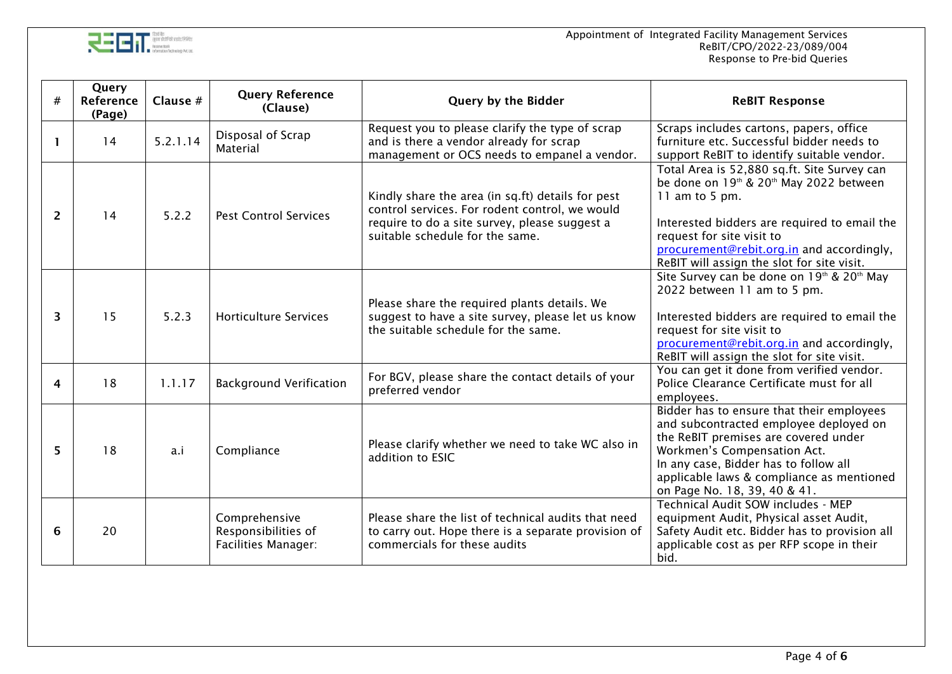

| #              | Query<br>Reference<br>(Page) | Clause $#$ | <b>Query Reference</b><br>(Clause)                                 | Query by the Bidder                                                                                                                                                                     | <b>ReBIT Response</b>                                                                                                                                                                                                                                                                                    |
|----------------|------------------------------|------------|--------------------------------------------------------------------|-----------------------------------------------------------------------------------------------------------------------------------------------------------------------------------------|----------------------------------------------------------------------------------------------------------------------------------------------------------------------------------------------------------------------------------------------------------------------------------------------------------|
| $\mathbf{1}$   | 14                           | 5.2.1.14   | Disposal of Scrap<br>Material                                      | Request you to please clarify the type of scrap<br>and is there a vendor already for scrap<br>management or OCS needs to empanel a vendor.                                              | Scraps includes cartons, papers, office<br>furniture etc. Successful bidder needs to<br>support ReBIT to identify suitable vendor.                                                                                                                                                                       |
| $\overline{2}$ | 14                           | 5.2.2      | <b>Pest Control Services</b>                                       | Kindly share the area (in sq.ft) details for pest<br>control services. For rodent control, we would<br>require to do a site survey, please suggest a<br>suitable schedule for the same. | Total Area is 52,880 sq.ft. Site Survey can<br>be done on 19 <sup>th</sup> & 20 <sup>th</sup> May 2022 between<br>11 am to 5 pm.<br>Interested bidders are required to email the<br>request for site visit to<br>procurement@rebit.org.in and accordingly,<br>ReBIT will assign the slot for site visit. |
| 3              | 15                           | 5.2.3      | <b>Horticulture Services</b>                                       | Please share the required plants details. We<br>suggest to have a site survey, please let us know<br>the suitable schedule for the same.                                                | Site Survey can be done on 19th & 20th May<br>2022 between 11 am to 5 pm.<br>Interested bidders are required to email the<br>request for site visit to<br>procurement@rebit.org.in and accordingly,<br>ReBIT will assign the slot for site visit.                                                        |
| 4              | 18                           | 1.1.17     | <b>Background Verification</b>                                     | For BGV, please share the contact details of your<br>preferred vendor                                                                                                                   | You can get it done from verified vendor.<br>Police Clearance Certificate must for all<br>employees.                                                                                                                                                                                                     |
| 5              | 18                           | a.i        | Compliance                                                         | Please clarify whether we need to take WC also in<br>addition to ESIC                                                                                                                   | Bidder has to ensure that their employees<br>and subcontracted employee deployed on<br>the ReBIT premises are covered under<br>Workmen's Compensation Act.<br>In any case, Bidder has to follow all<br>applicable laws & compliance as mentioned<br>on Page No. 18, 39, 40 & 41.                         |
| 6              | 20                           |            | Comprehensive<br>Responsibilities of<br><b>Facilities Manager:</b> | Please share the list of technical audits that need<br>to carry out. Hope there is a separate provision of<br>commercials for these audits                                              | Technical Audit SOW includes - MEP<br>equipment Audit, Physical asset Audit,<br>Safety Audit etc. Bidder has to provision all<br>applicable cost as per RFP scope in their<br>bid.                                                                                                                       |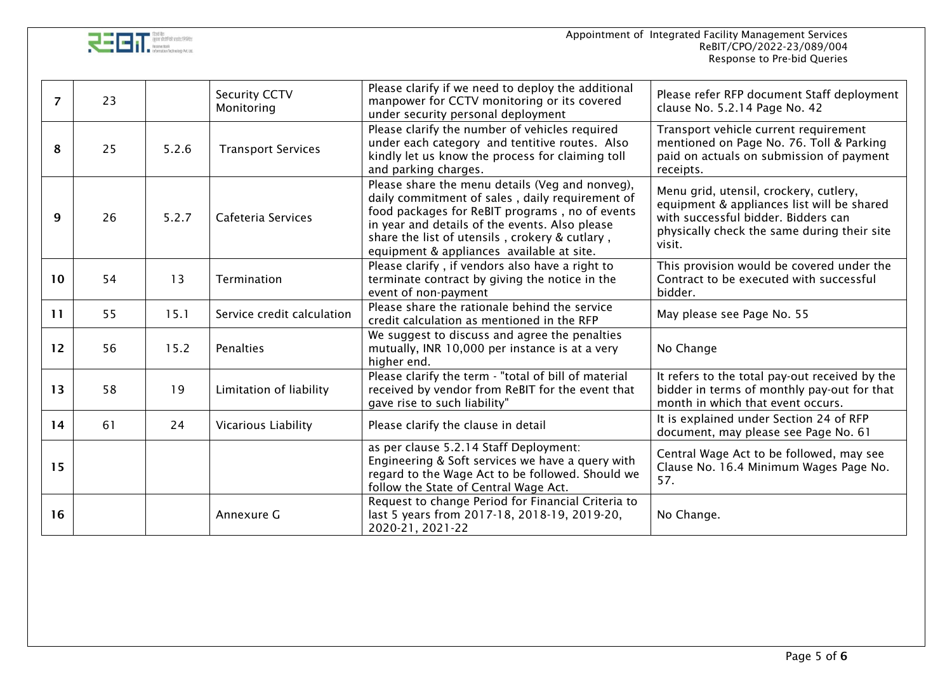

| $\overline{7}$ | 23 |       | <b>Security CCTV</b><br>Monitoring | Please clarify if we need to deploy the additional<br>manpower for CCTV monitoring or its covered<br>under security personal deployment                                                                                                                                                               | Please refer RFP document Staff deployment<br>clause No. 5.2.14 Page No. 42                                                                                                          |
|----------------|----|-------|------------------------------------|-------------------------------------------------------------------------------------------------------------------------------------------------------------------------------------------------------------------------------------------------------------------------------------------------------|--------------------------------------------------------------------------------------------------------------------------------------------------------------------------------------|
| 8              | 25 | 5.2.6 | <b>Transport Services</b>          | Please clarify the number of vehicles required<br>under each category and tentitive routes. Also<br>kindly let us know the process for claiming toll<br>and parking charges.                                                                                                                          | Transport vehicle current requirement<br>mentioned on Page No. 76. Toll & Parking<br>paid on actuals on submission of payment<br>receipts.                                           |
| 9              | 26 | 5.2.7 | Cafeteria Services                 | Please share the menu details (Veg and nonveg),<br>daily commitment of sales, daily requirement of<br>food packages for ReBIT programs, no of events<br>in year and details of the events. Also please<br>share the list of utensils, crokery & cutlary,<br>equipment & appliances available at site. | Menu grid, utensil, crockery, cutlery,<br>equipment & appliances list will be shared<br>with successful bidder. Bidders can<br>physically check the same during their site<br>visit. |
| 10             | 54 | 13    | Termination                        | Please clarify, if vendors also have a right to<br>terminate contract by giving the notice in the<br>event of non-payment                                                                                                                                                                             | This provision would be covered under the<br>Contract to be executed with successful<br>bidder.                                                                                      |
| 11             | 55 | 15.1  | Service credit calculation         | Please share the rationale behind the service<br>credit calculation as mentioned in the RFP                                                                                                                                                                                                           | May please see Page No. 55                                                                                                                                                           |
| 12             | 56 | 15.2  | <b>Penalties</b>                   | We suggest to discuss and agree the penalties<br>mutually, INR 10,000 per instance is at a very<br>higher end.                                                                                                                                                                                        | No Change                                                                                                                                                                            |
| 13             | 58 | 19    | Limitation of liability            | Please clarify the term - "total of bill of material<br>received by vendor from ReBIT for the event that<br>gave rise to such liability"                                                                                                                                                              | It refers to the total pay-out received by the<br>bidder in terms of monthly pay-out for that<br>month in which that event occurs.                                                   |
| 14             | 61 | 24    | Vicarious Liability                | Please clarify the clause in detail                                                                                                                                                                                                                                                                   | It is explained under Section 24 of RFP<br>document, may please see Page No. 61                                                                                                      |
| 15             |    |       |                                    | as per clause 5.2.14 Staff Deployment:<br>Engineering & Soft services we have a query with<br>regard to the Wage Act to be followed. Should we<br>follow the State of Central Wage Act.                                                                                                               | Central Wage Act to be followed, may see<br>Clause No. 16.4 Minimum Wages Page No.<br>57.                                                                                            |
| 16             |    |       | Annexure G                         | Request to change Period for Financial Criteria to<br>last 5 years from 2017-18, 2018-19, 2019-20,<br>2020-21, 2021-22                                                                                                                                                                                | No Change.                                                                                                                                                                           |